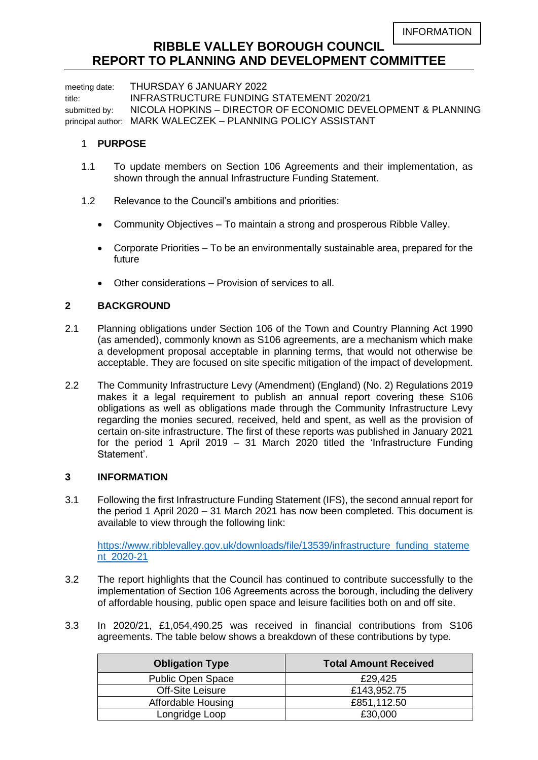# **RIBBLE VALLEY BOROUGH COUNCIL REPORT TO PLANNING AND DEVELOPMENT COMMITTEE**

meeting date: THURSDAY 6 JANUARY 2022 title: INFRASTRUCTURE FUNDING STATEMENT 2020/21 submitted by: NICOLA HOPKINS - DIRECTOR OF ECONOMIC DEVELOPMENT & PLANNING principal author: MARK WALECZEK – PLANNING POLICY ASSISTANT

#### 1 **PURPOSE**

- 1.1 To update members on Section 106 Agreements and their implementation, as shown through the annual Infrastructure Funding Statement.
- 1.2 Relevance to the Council's ambitions and priorities:
	- Community Objectives To maintain a strong and prosperous Ribble Valley.
	- Corporate Priorities To be an environmentally sustainable area, prepared for the future
	- Other considerations Provision of services to all.

### **2 BACKGROUND**

- 2.1 Planning obligations under Section 106 of the Town and Country Planning Act 1990 (as amended), commonly known as S106 agreements, are a mechanism which make a development proposal acceptable in planning terms, that would not otherwise be acceptable. They are focused on site specific mitigation of the impact of development.
- 2.2 The Community Infrastructure Levy (Amendment) (England) (No. 2) Regulations 2019 makes it a legal requirement to publish an annual report covering these S106 obligations as well as obligations made through the Community Infrastructure Levy regarding the monies secured, received, held and spent, as well as the provision of certain on-site infrastructure. The first of these reports was published in January 2021 for the period 1 April 2019 – 31 March 2020 titled the 'Infrastructure Funding Statement'.

#### **3 INFORMATION**

3.1 Following the first Infrastructure Funding Statement (IFS), the second annual report for the period 1 April 2020 – 31 March 2021 has now been completed. This document is available to view through the following link:

[https://www.ribblevalley.gov.uk/downloads/file/13539/infrastructure\\_funding\\_stateme](https://www.ribblevalley.gov.uk/downloads/file/13539/infrastructure_funding_statement_2020-21) [nt\\_2020-21](https://www.ribblevalley.gov.uk/downloads/file/13539/infrastructure_funding_statement_2020-21)

- 3.2 The report highlights that the Council has continued to contribute successfully to the implementation of Section 106 Agreements across the borough, including the delivery of affordable housing, public open space and leisure facilities both on and off site.
- 3.3 In 2020/21, £1,054,490.25 was received in financial contributions from S106 agreements. The table below shows a breakdown of these contributions by type.

| <b>Obligation Type</b>   | <b>Total Amount Received</b> |
|--------------------------|------------------------------|
| <b>Public Open Space</b> | £29.425                      |
| Off-Site Leisure         | £143,952.75                  |
| Affordable Housing       | £851,112.50                  |
| Longridge Loop           | £30,000                      |